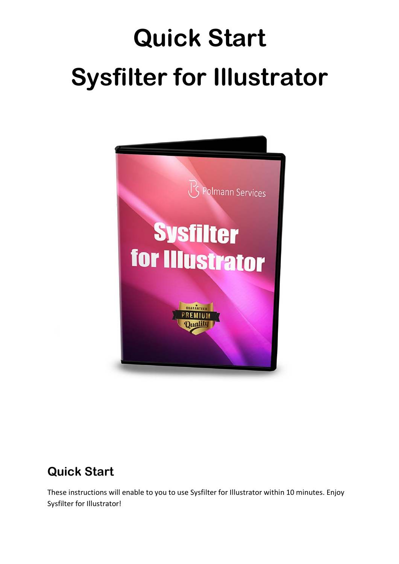# **Quick Start Sysfilter for Illustrator**



### **Quick Start**

These instructions will enable to you to use Sysfilter for Illustrator within 10 minutes. Enjoy Sysfilter for Illustrator!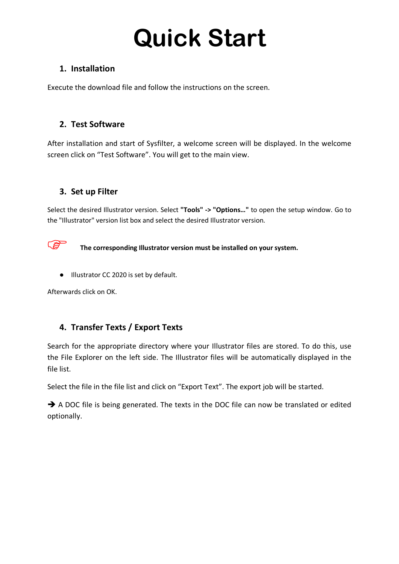## **Quick Start**

#### **1. Installation**

Execute the download file and follow the instructions on the screen.

#### **2. Test Software**

After installation and start of Sysfilter, a welcome screen will be displayed. In the welcome screen click on "Test Software". You will get to the main view.

#### **3. Set up Filter**

Select the desired Illustrator version. Select **"Tools" -> "Options…"** to open the setup window. Go to the "Illustrator" version list box and select the desired Illustrator version.



**The corresponding Illustrator version must be installed on your system.** 

● Illustrator CC 2020 is set by default.

Afterwards click on OK.

#### **4. Transfer Texts / Export Texts**

Search for the appropriate directory where your Illustrator files are stored. To do this, use the File Explorer on the left side. The Illustrator files will be automatically displayed in the file list.

Select the file in the file list and click on "Export Text". The export job will be started.

A DOC file is being generated. The texts in the DOC file can now be translated or edited optionally.